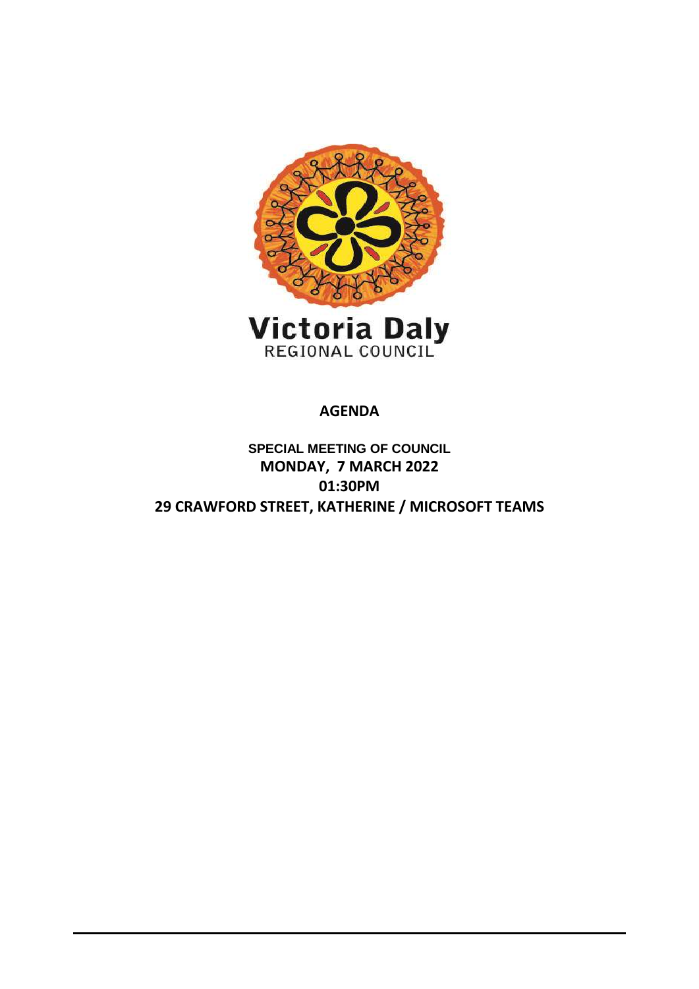

**AGENDA**

**SPECIAL MEETING OF COUNCIL MONDAY, 7 MARCH 2022 01:30PM 29 CRAWFORD STREET, KATHERINE / MICROSOFT TEAMS**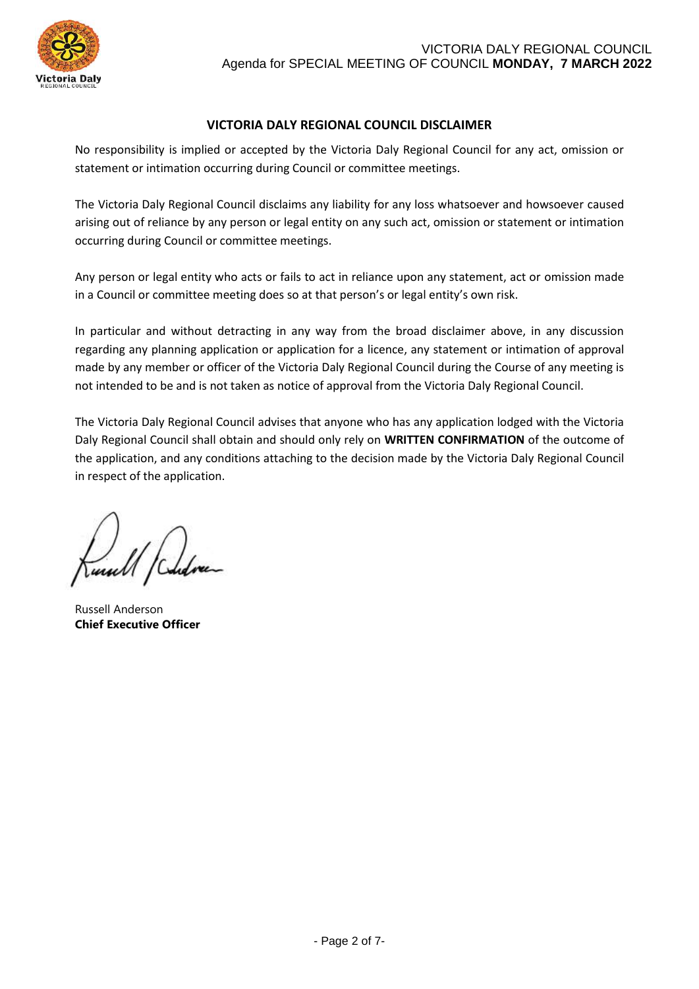

# **VICTORIA DALY REGIONAL COUNCIL DISCLAIMER**

No responsibility is implied or accepted by the Victoria Daly Regional Council for any act, omission or statement or intimation occurring during Council or committee meetings.

The Victoria Daly Regional Council disclaims any liability for any loss whatsoever and howsoever caused arising out of reliance by any person or legal entity on any such act, omission or statement or intimation occurring during Council or committee meetings.

Any person or legal entity who acts or fails to act in reliance upon any statement, act or omission made in a Council or committee meeting does so at that person's or legal entity's own risk.

In particular and without detracting in any way from the broad disclaimer above, in any discussion regarding any planning application or application for a licence, any statement or intimation of approval made by any member or officer of the Victoria Daly Regional Council during the Course of any meeting is not intended to be and is not taken as notice of approval from the Victoria Daly Regional Council.

The Victoria Daly Regional Council advises that anyone who has any application lodged with the Victoria Daly Regional Council shall obtain and should only rely on **WRITTEN CONFIRMATION** of the outcome of the application, and any conditions attaching to the decision made by the Victoria Daly Regional Council in respect of the application.

Russell Anderson **Chief Executive Officer**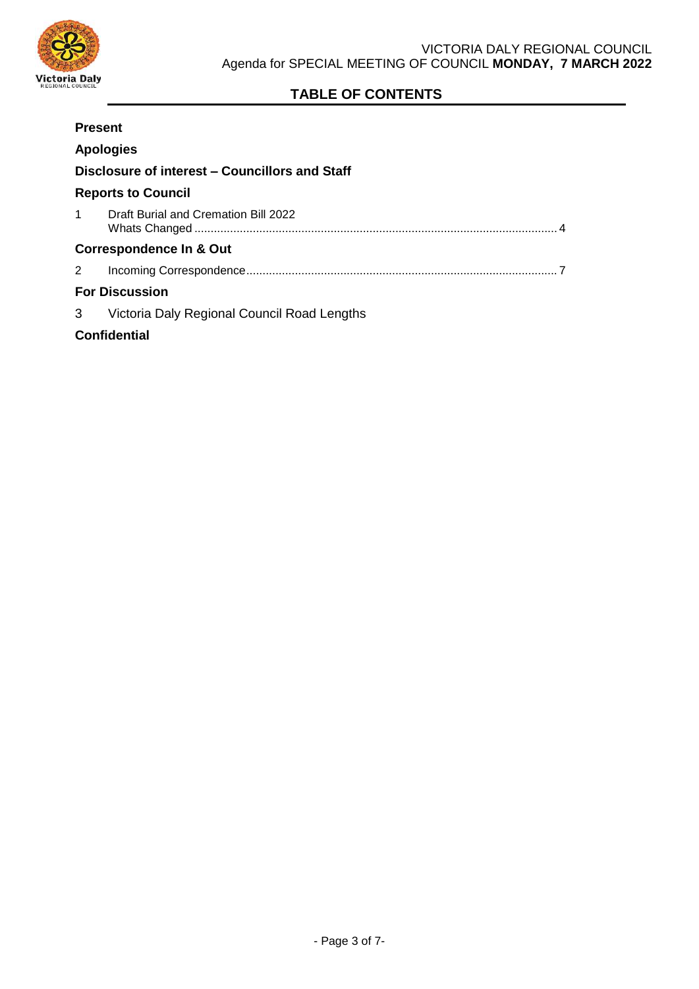

# **TABLE OF CONTENTS**

| <b>Present</b>                                 |                                             |
|------------------------------------------------|---------------------------------------------|
| <b>Apologies</b>                               |                                             |
| Disclosure of interest – Councillors and Staff |                                             |
| <b>Reports to Council</b>                      |                                             |
| $\mathbf{1}$                                   | Draft Burial and Cremation Bill 2022        |
| <b>Correspondence In &amp; Out</b>             |                                             |
| 2                                              |                                             |
| <b>For Discussion</b>                          |                                             |
| 3                                              | Victoria Daly Regional Council Road Lengths |
| <b>Confidential</b>                            |                                             |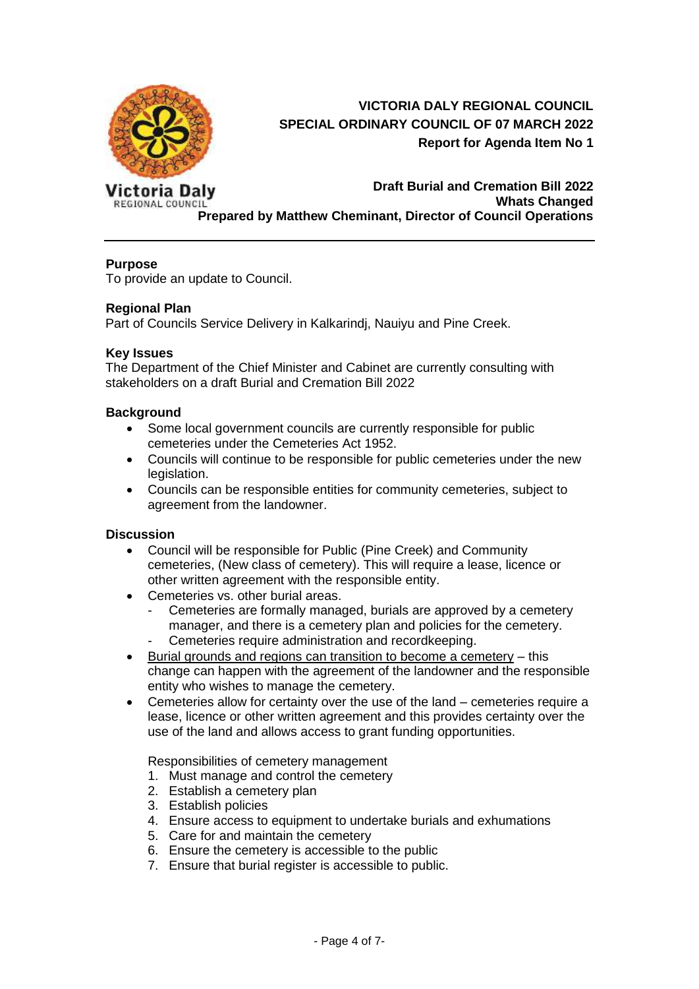<span id="page-3-0"></span>

# **VICTORIA DALY REGIONAL COUNCIL SPECIAL ORDINARY COUNCIL OF 07 MARCH 2022 Report for Agenda Item No 1**

Victoria Daly **REGIONAL COUNCIL** 

# **Draft Burial and Cremation Bill 2022 Whats Changed Prepared by Matthew Cheminant, Director of Council Operations**

# **Purpose**

To provide an update to Council.

# **Regional Plan**

Part of Councils Service Delivery in Kalkarindj, Nauiyu and Pine Creek.

### **Key Issues**

The Department of the Chief Minister and Cabinet are currently consulting with stakeholders on a draft Burial and Cremation Bill 2022

### **Background**

- Some local government councils are currently responsible for public cemeteries under the Cemeteries Act 1952.
- Councils will continue to be responsible for public cemeteries under the new legislation.
- Councils can be responsible entities for community cemeteries, subject to agreement from the landowner.

# **Discussion**

- Council will be responsible for Public (Pine Creek) and Community cemeteries, (New class of cemetery). This will require a lease, licence or other written agreement with the responsible entity.
- Cemeteries vs. other burial areas.
	- Cemeteries are formally managed, burials are approved by a cemetery manager, and there is a cemetery plan and policies for the cemetery. Cemeteries require administration and recordkeeping.
- Burial grounds and regions can transition to become a cemetery this change can happen with the agreement of the landowner and the responsible entity who wishes to manage the cemetery.
- Cemeteries allow for certainty over the use of the land cemeteries require a lease, licence or other written agreement and this provides certainty over the use of the land and allows access to grant funding opportunities.

Responsibilities of cemetery management

- 1. Must manage and control the cemetery
- 2. Establish a cemetery plan
- 3. Establish policies
- 4. Ensure access to equipment to undertake burials and exhumations
- 5. Care for and maintain the cemetery
- 6. Ensure the cemetery is accessible to the public
- 7. Ensure that burial register is accessible to public.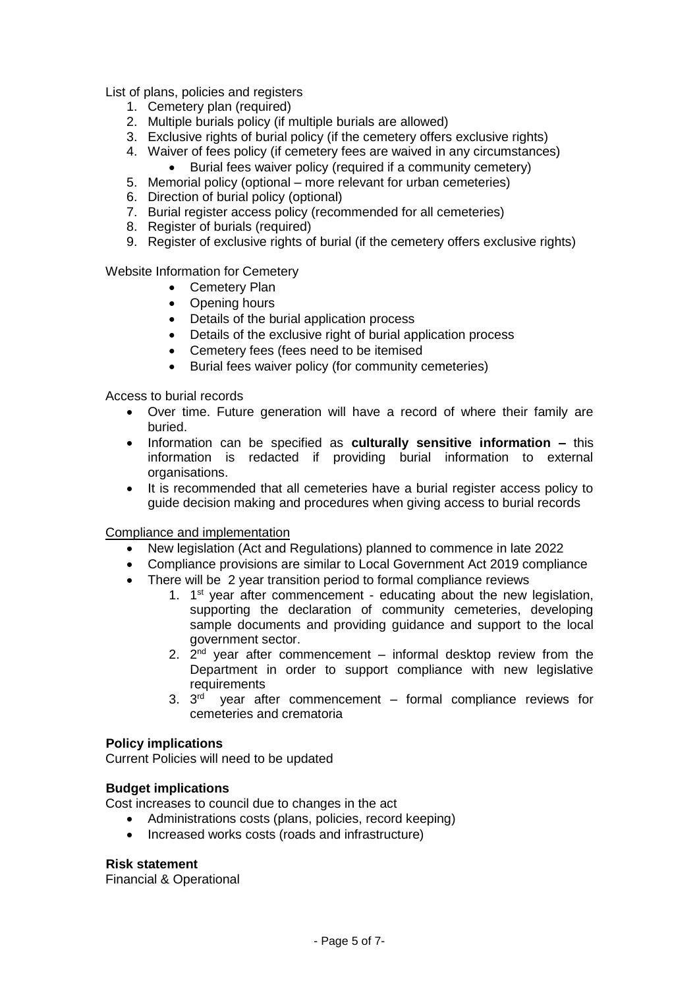List of plans, policies and registers

- 1. Cemetery plan (required)
- 2. Multiple burials policy (if multiple burials are allowed)
- 3. Exclusive rights of burial policy (if the cemetery offers exclusive rights)
- 4. Waiver of fees policy (if cemetery fees are waived in any circumstances)
	- Burial fees waiver policy (required if a community cemetery)
- 5. Memorial policy (optional more relevant for urban cemeteries)
- 6. Direction of burial policy (optional)
- 7. Burial register access policy (recommended for all cemeteries)
- 8. Register of burials (required)
- 9. Register of exclusive rights of burial (if the cemetery offers exclusive rights)

Website Information for Cemetery

- Cemetery Plan
- Opening hours
- Details of the burial application process
- Details of the exclusive right of burial application process
- Cemetery fees (fees need to be itemised
- Burial fees waiver policy (for community cemeteries)

Access to burial records

- Over time. Future generation will have a record of where their family are buried.
- Information can be specified as **culturally sensitive information –** this information is redacted if providing burial information to external organisations.
- It is recommended that all cemeteries have a burial register access policy to guide decision making and procedures when giving access to burial records

Compliance and implementation

- New legislation (Act and Regulations) planned to commence in late 2022
- Compliance provisions are similar to Local Government Act 2019 compliance
- There will be 2 year transition period to formal compliance reviews
	- 1.  $1<sup>st</sup>$  year after commencement educating about the new legislation, supporting the declaration of community cemeteries, developing sample documents and providing guidance and support to the local government sector.
	- 2.  $2^{nd}$  year after commencement informal desktop review from the Department in order to support compliance with new legislative requirements
	- 3.  $3<sup>rd</sup>$  year after commencement formal compliance reviews for cemeteries and crematoria

#### **Policy implications**

Current Policies will need to be updated

#### **Budget implications**

Cost increases to council due to changes in the act

- Administrations costs (plans, policies, record keeping)
- Increased works costs (roads and infrastructure)

#### **Risk statement**

Financial & Operational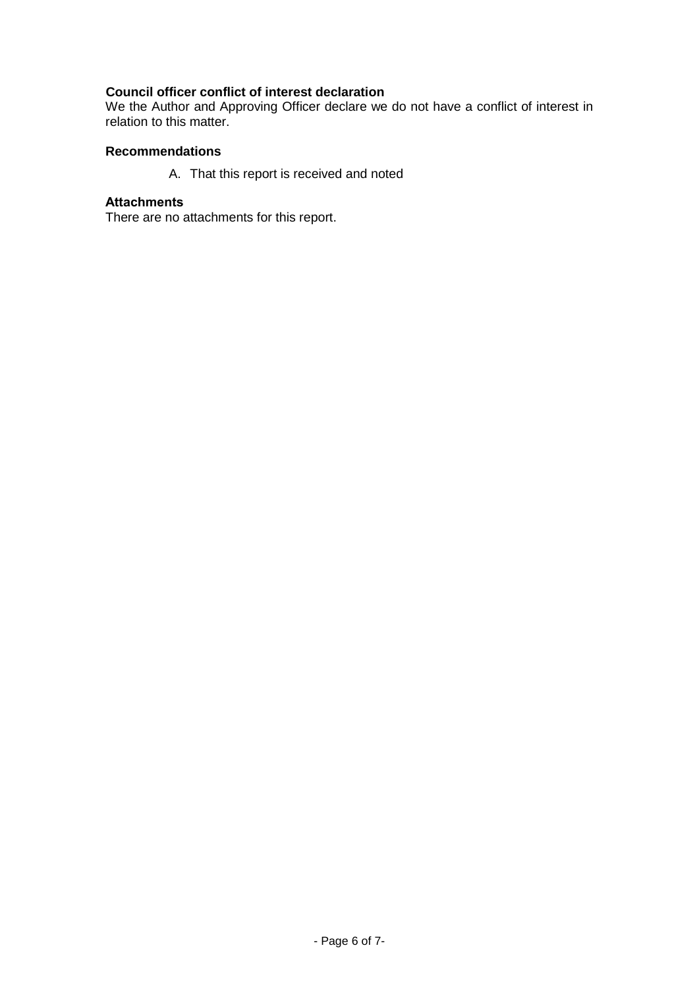# **Council officer conflict of interest declaration**

We the Author and Approving Officer declare we do not have a conflict of interest in relation to this matter.

# **Recommendations**

A. That this report is received and noted

# **Attachments**

There are no attachments for this report.